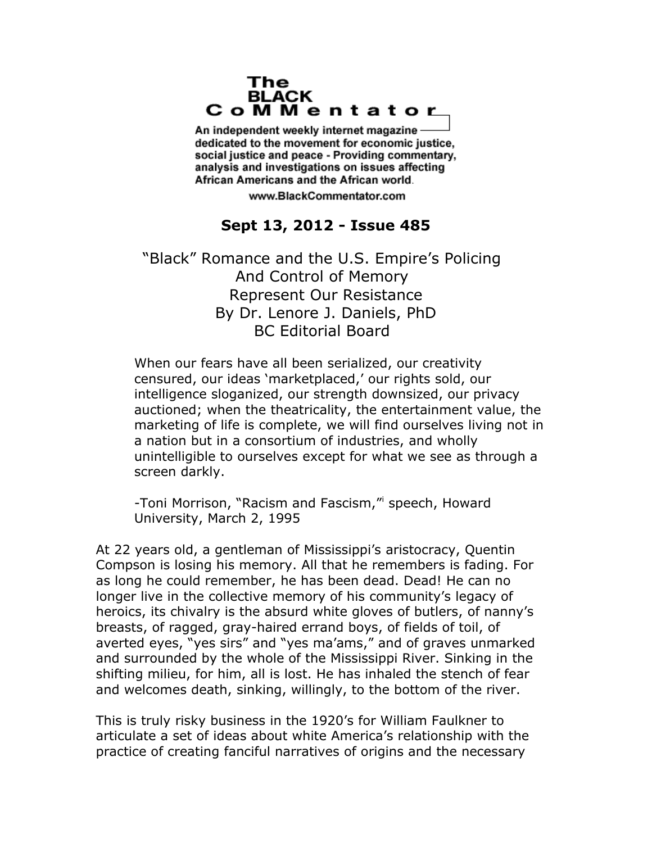## The **BLACK** CoMMentator

An independent weekly internet magazine dedicated to the movement for economic justice. social justice and peace - Providing commentary, analysis and investigations on issues affecting African Americans and the African world.

www.BlackCommentator.com

## **Sept 13, 2012 - Issue 485**

"Black" Romance and the U.S. Empire's Policing And Control of Memory Represent Our Resistance By Dr. Lenore J. Daniels, PhD BC Editorial Board

When our fears have all been serialized, our creativity censured, our ideas 'marketplaced,' our rights sold, our intelligence sloganized, our strength downsized, our privacy auctioned; when the theatricality, the entertainment value, the marketing of life is complete, we will find ourselves living not in a nation but in a consortium of industries, and wholly unintelligible to ourselves except for what we see as through a screen darkly.

-ToniMorrison, "Racism and Fascism," speech, Howard University, March 2, 1995

At 22 years old, a gentleman of Mississippi's aristocracy, Quentin Compson is losing his memory. All that he remembers is fading. For as long he could remember, he has been dead. Dead! He can no longer live in the collective memory of his community's legacy of heroics, its chivalry is the absurd white gloves of butlers, of nanny's breasts, of ragged, gray-haired errand boys, of fields of toil, of averted eyes, "yes sirs" and "yes ma'ams," and of graves unmarked and surrounded by the whole of the Mississippi River. Sinking in the shifting milieu, for him, all is lost. He has inhaled the stench of fear and welcomes death, sinking, willingly, to the bottom of the river.

This is truly risky business in the 1920's for William Faulkner to articulate a set of ideas about white America's relationship with the practice of creating fanciful narratives of origins and the necessary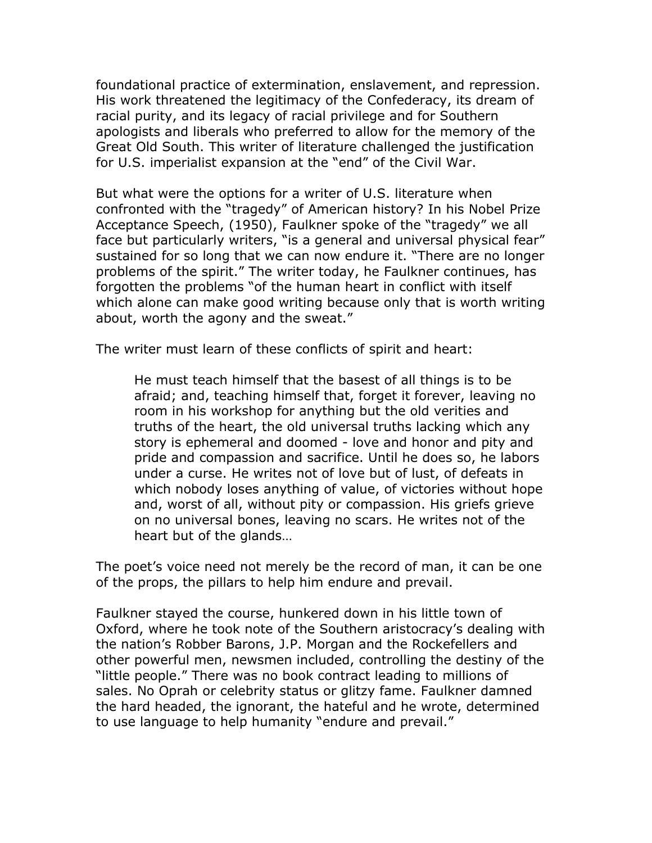foundational practice of extermination, enslavement, and repression. His work threatened the legitimacy of the Confederacy, its dream of racial purity, and its legacy of racial privilege and for Southern apologists and liberals who preferred to allow for the memory of the Great Old South. This writer of literature challenged the justification for U.S. imperialist expansion at the "end" of the Civil War.

But what were the options for a writer of U.S. literature when confronted with the "tragedy" of American history? In his Nobel Prize Acceptance Speech, (1950), Faulkner spoke of the "tragedy" we all face but particularly writers, "is a general and universal physical fear" sustained for so long that we can now endure it. "There are no longer problems of the spirit." The writer today, he Faulkner continues, has forgotten the problems "of the human heart in conflict with itself which alone can make good writing because only that is worth writing about, worth the agony and the sweat."

The writer must learn of these conflicts of spirit and heart:

He must teach himself that the basest of all things is to be afraid; and, teaching himself that, forget it forever, leaving no room in his workshop for anything but the old verities and truths of the heart, the old universal truths lacking which any story is ephemeral and doomed - love and honor and pity and pride and compassion and sacrifice. Until he does so, he labors under a curse. He writes not of love but of lust, of defeats in which nobody loses anything of value, of victories without hope and, worst of all, without pity or compassion. His griefs grieve on no universal bones, leaving no scars. He writes not of the heart but of the glands…

The poet's voice need not merely be the record of man, it can be one of the props, the pillars to help him endure and prevail.

Faulkner stayed the course, hunkered down in his little town of Oxford, where he took note of the Southern aristocracy's dealing with the nation's Robber Barons, J.P. Morgan and the Rockefellers and other powerful men, newsmen included, controlling the destiny of the "little people." There was no book contract leading to millions of sales. No Oprah or celebrity status or glitzy fame. Faulkner damned the hard headed, the ignorant, the hateful and he wrote, determined to use language to help humanity "endure and prevail."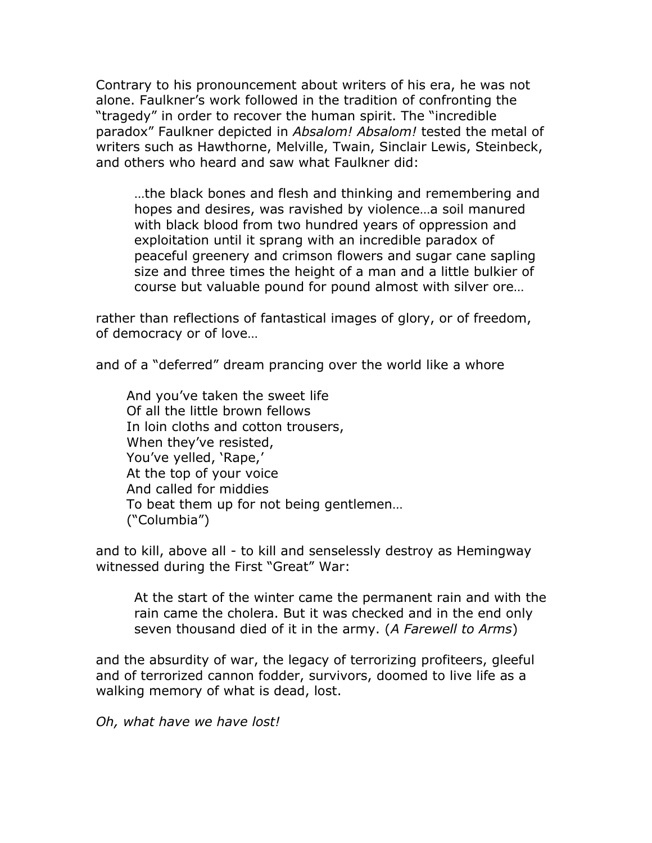Contrary to his pronouncement about writers of his era, he was not alone. Faulkner's work followed in the tradition of confronting the "tragedy" in order to recover the human spirit. The "incredible paradox" Faulkner depicted in *Absalom! Absalom!* tested the metal of writers such as Hawthorne, Melville, Twain, Sinclair Lewis, Steinbeck, and others who heard and saw what Faulkner did:

…the black bones and flesh and thinking and remembering and hopes and desires, was ravished by violence…a soil manured with black blood from two hundred years of oppression and exploitation until it sprang with an incredible paradox of peaceful greenery and crimson flowers and sugar cane sapling size and three times the height of a man and a little bulkier of course but valuable pound for pound almost with silver ore…

rather than reflections of fantastical images of glory, or of freedom, of democracy or of love…

and of a "deferred" dream prancing over the world like a whore

And you've taken the sweet life Of all the little brown fellows In loin cloths and cotton trousers, When they've resisted, You've yelled, 'Rape,' At the top of your voice And called for middies To beat them up for not being gentlemen… ("Columbia")

and to kill, above all - to kill and senselessly destroy as Hemingway witnessed during the First "Great" War:

At the start of the winter came the permanent rain and with the rain came the cholera. But it was checked and in the end only seven thousand died of it in the army. (*A Farewell to Arms*)

and the absurdity of war, the legacy of terrorizing profiteers, gleeful and of terrorized cannon fodder, survivors, doomed to live life as a walking memory of what is dead, lost.

*Oh, what have we have lost!*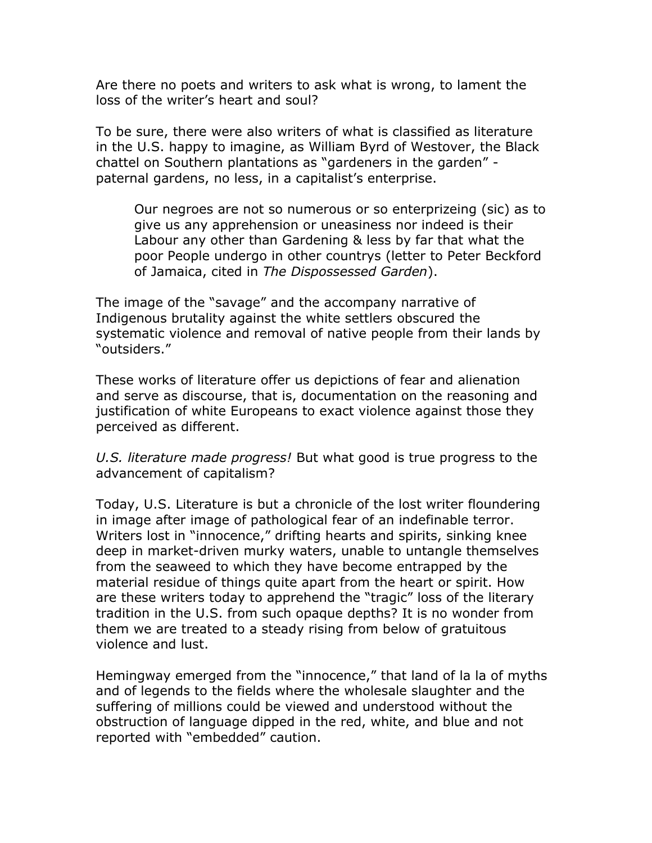Are there no poets and writers to ask what is wrong, to lament the loss of the writer's heart and soul?

To be sure, there were also writers of what is classified as literature in the U.S. happy to imagine, as William Byrd of Westover, the Black chattel on Southern plantations as "gardeners in the garden" paternal gardens, no less, in a capitalist's enterprise.

Our negroes are not so numerous or so enterprizeing (sic) as to give us any apprehension or uneasiness nor indeed is their Labour any other than Gardening & less by far that what the poor People undergo in other countrys (letter to Peter Beckford of Jamaica, cited in *The Dispossessed Garden*).

The image of the "savage" and the accompany narrative of Indigenous brutality against the white settlers obscured the systematic violence and removal of native people from their lands by "outsiders."

These works of literature offer us depictions of fear and alienation and serve as discourse, that is, documentation on the reasoning and justification of white Europeans to exact violence against those they perceived as different.

*U.S. literature made progress!* But what good is true progress to the advancement of capitalism?

Today, U.S. Literature is but a chronicle of the lost writer floundering in image after image of pathological fear of an indefinable terror. Writers lost in "innocence," drifting hearts and spirits, sinking knee deep in market-driven murky waters, unable to untangle themselves from the seaweed to which they have become entrapped by the material residue of things quite apart from the heart or spirit. How are these writers today to apprehend the "tragic" loss of the literary tradition in the U.S. from such opaque depths? It is no wonder from them we are treated to a steady rising from below of gratuitous violence and lust.

Hemingway emerged from the "innocence," that land of la la of myths and of legends to the fields where the wholesale slaughter and the suffering of millions could be viewed and understood without the obstruction of language dipped in the red, white, and blue and not reported with "embedded" caution.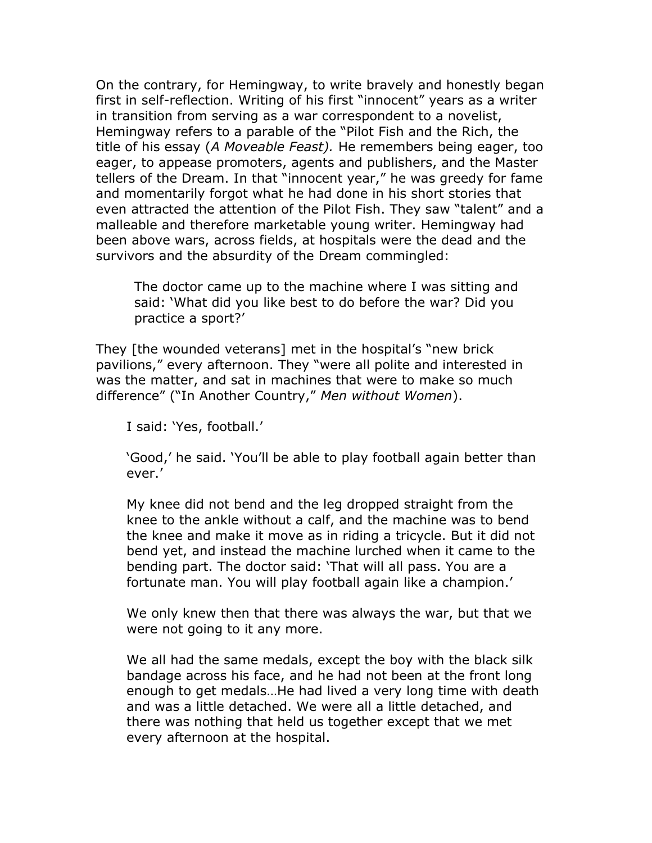On the contrary, for Hemingway, to write bravely and honestly began first in self-reflection. Writing of his first "innocent" years as a writer in transition from serving as a war correspondent to a novelist, Hemingway refers to a parable of the "Pilot Fish and the Rich, the title of his essay (*A Moveable Feast).* He remembers being eager, too eager, to appease promoters, agents and publishers, and the Master tellers of the Dream. In that "innocent year," he was greedy for fame and momentarily forgot what he had done in his short stories that even attracted the attention of the Pilot Fish. They saw "talent" and a malleable and therefore marketable young writer. Hemingway had been above wars, across fields, at hospitals were the dead and the survivors and the absurdity of the Dream commingled:

The doctor came up to the machine where I was sitting and said: 'What did you like best to do before the war? Did you practice a sport?'

They [the wounded veterans] met in the hospital's "new brick pavilions," every afternoon. They "were all polite and interested in was the matter, and sat in machines that were to make so much difference" ("In Another Country," *Men without Women*).

I said: 'Yes, football.'

'Good,' he said. 'You'll be able to play football again better than ever.'

My knee did not bend and the leg dropped straight from the knee to the ankle without a calf, and the machine was to bend the knee and make it move as in riding a tricycle. But it did not bend yet, and instead the machine lurched when it came to the bending part. The doctor said: 'That will all pass. You are a fortunate man. You will play football again like a champion.'

We only knew then that there was always the war, but that we were not going to it any more.

We all had the same medals, except the boy with the black silk bandage across his face, and he had not been at the front long enough to get medals…He had lived a very long time with death and was a little detached. We were all a little detached, and there was nothing that held us together except that we met every afternoon at the hospital.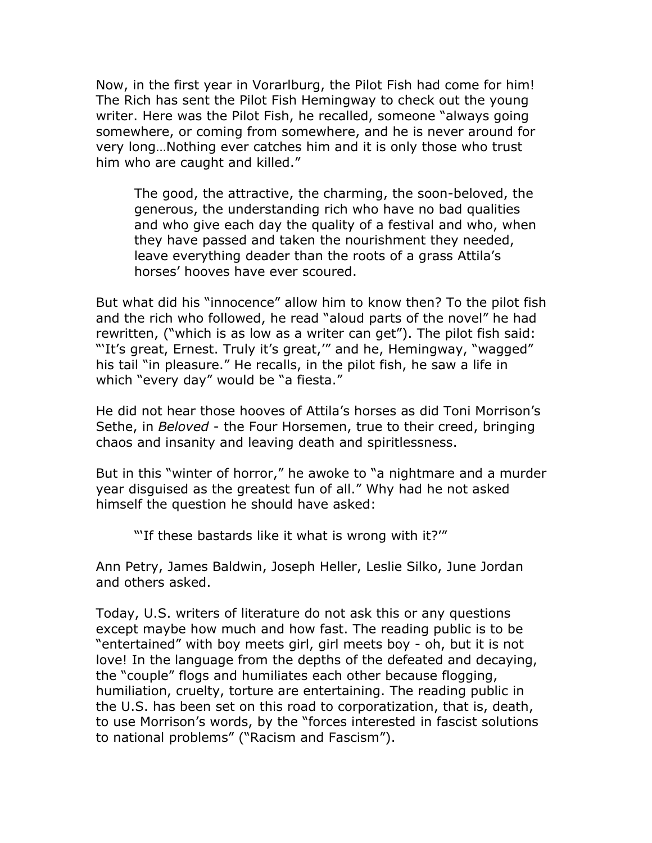Now, in the first year in Vorarlburg, the Pilot Fish had come for him! The Rich has sent the Pilot Fish Hemingway to check out the young writer. Here was the Pilot Fish, he recalled, someone "always going somewhere, or coming from somewhere, and he is never around for very long…Nothing ever catches him and it is only those who trust him who are caught and killed."

The good, the attractive, the charming, the soon-beloved, the generous, the understanding rich who have no bad qualities and who give each day the quality of a festival and who, when they have passed and taken the nourishment they needed, leave everything deader than the roots of a grass Attila's horses' hooves have ever scoured.

But what did his "innocence" allow him to know then? To the pilot fish and the rich who followed, he read "aloud parts of the novel" he had rewritten, ("which is as low as a writer can get"). The pilot fish said: "It's great, Ernest. Truly it's great," and he, Hemingway, "wagged" his tail "in pleasure." He recalls, in the pilot fish, he saw a life in which "every day" would be "a fiesta."

He did not hear those hooves of Attila's horses as did Toni Morrison's Sethe, in *Beloved* - the Four Horsemen, true to their creed, bringing chaos and insanity and leaving death and spiritlessness.

But in this "winter of horror," he awoke to "a nightmare and a murder year disguised as the greatest fun of all." Why had he not asked himself the question he should have asked:

"If these bastards like it what is wrong with it?"

Ann Petry, James Baldwin, Joseph Heller, Leslie Silko, June Jordan and others asked.

Today, U.S. writers of literature do not ask this or any questions except maybe how much and how fast. The reading public is to be "entertained" with boy meets girl, girl meets boy - oh, but it is not love! In the language from the depths of the defeated and decaying, the "couple" flogs and humiliates each other because flogging, humiliation, cruelty, torture are entertaining. The reading public in the U.S. has been set on this road to corporatization, that is, death, to use Morrison's words, by the "forces interested in fascist solutions to national problems" ("Racism and Fascism").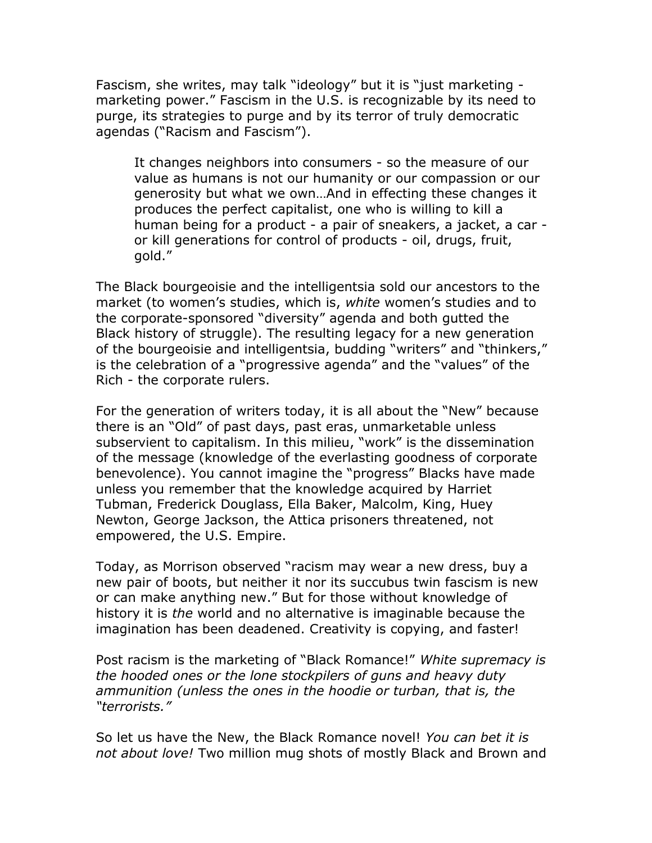Fascism, she writes, may talk "ideology" but it is "just marketing marketing power." Fascism in the U.S. is recognizable by its need to purge, its strategies to purge and by its terror of truly democratic agendas ("Racism and Fascism").

It changes neighbors into consumers - so the measure of our value as humans is not our humanity or our compassion or our generosity but what we own…And in effecting these changes it produces the perfect capitalist, one who is willing to kill a human being for a product - a pair of sneakers, a jacket, a car or kill generations for control of products - oil, drugs, fruit, gold."

The Black bourgeoisie and the intelligentsia sold our ancestors to the market (to women's studies, which is, *white* women's studies and to the corporate-sponsored "diversity" agenda and both gutted the Black history of struggle). The resulting legacy for a new generation of the bourgeoisie and intelligentsia, budding "writers" and "thinkers," is the celebration of a "progressive agenda" and the "values" of the Rich - the corporate rulers.

For the generation of writers today, it is all about the "New" because there is an "Old" of past days, past eras, unmarketable unless subservient to capitalism. In this milieu, "work" is the dissemination of the message (knowledge of the everlasting goodness of corporate benevolence). You cannot imagine the "progress" Blacks have made unless you remember that the knowledge acquired by Harriet Tubman, Frederick Douglass, Ella Baker, Malcolm, King, Huey Newton, George Jackson, the Attica prisoners threatened, not empowered, the U.S. Empire.

Today, as Morrison observed "racism may wear a new dress, buy a new pair of boots, but neither it nor its succubus twin fascism is new or can make anything new." But for those without knowledge of history it is *the* world and no alternative is imaginable because the imagination has been deadened. Creativity is copying, and faster!

Post racism is the marketing of "Black Romance!" *White supremacy is the hooded ones or the lone stockpilers of guns and heavy duty ammunition (unless the ones in the hoodie or turban, that is, the "terrorists."*

So let us have the New, the Black Romance novel! *You can bet it is not about love!* Two million mug shots of mostly Black and Brown and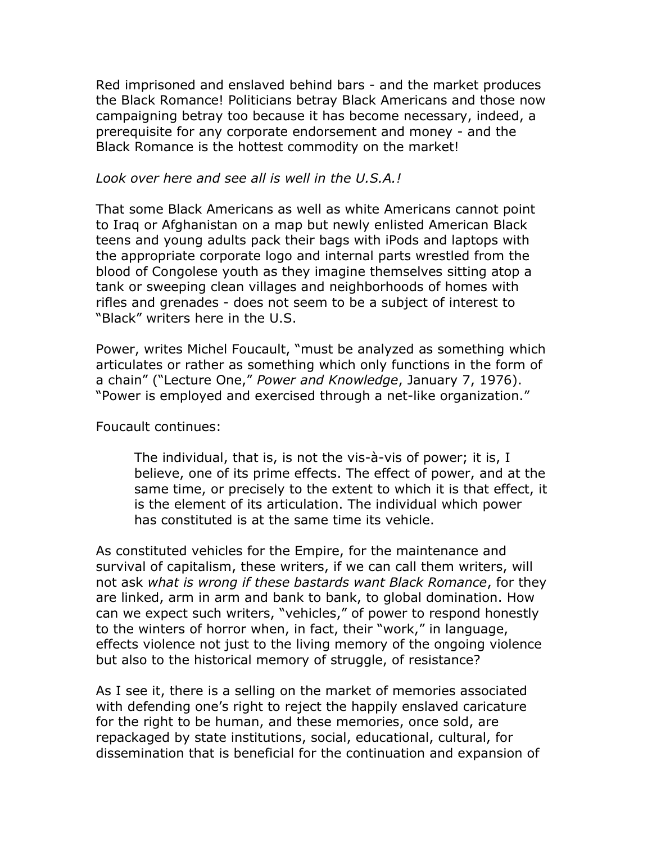Red imprisoned and enslaved behind bars - and the market produces the Black Romance! Politicians betray Black Americans and those now campaigning betray too because it has become necessary, indeed, a prerequisite for any corporate endorsement and money - and the Black Romance is the hottest commodity on the market!

## *Look over here and see all is well in the U.S.A.!*

That some Black Americans as well as white Americans cannot point to Iraq or Afghanistan on a map but newly enlisted American Black teens and young adults pack their bags with iPods and laptops with the appropriate corporate logo and internal parts wrestled from the blood of Congolese youth as they imagine themselves sitting atop a tank or sweeping clean villages and neighborhoods of homes with rifles and grenades - does not seem to be a subject of interest to "Black" writers here in the U.S.

Power, writes Michel Foucault, "must be analyzed as something which articulates or rather as something which only functions in the form of a chain" ("Lecture One," *Power and Knowledge*, January 7, 1976). "Power is employed and exercised through a net-like organization."

## Foucault continues:

The individual, that is, is not the vis-à-vis of power; it is, I believe, one of its prime effects. The effect of power, and at the same time, or precisely to the extent to which it is that effect, it is the element of its articulation. The individual which power has constituted is at the same time its vehicle.

As constituted vehicles for the Empire, for the maintenance and survival of capitalism, these writers, if we can call them writers, will not ask *what is wrong if these bastards want Black Romance*, for they are linked, arm in arm and bank to bank, to global domination. How can we expect such writers, "vehicles," of power to respond honestly to the winters of horror when, in fact, their "work," in language, effects violence not just to the living memory of the ongoing violence but also to the historical memory of struggle, of resistance?

As I see it, there is a selling on the market of memories associated with defending one's right to reject the happily enslaved caricature for the right to be human, and these memories, once sold, are repackaged by state institutions, social, educational, cultural, for dissemination that is beneficial for the continuation and expansion of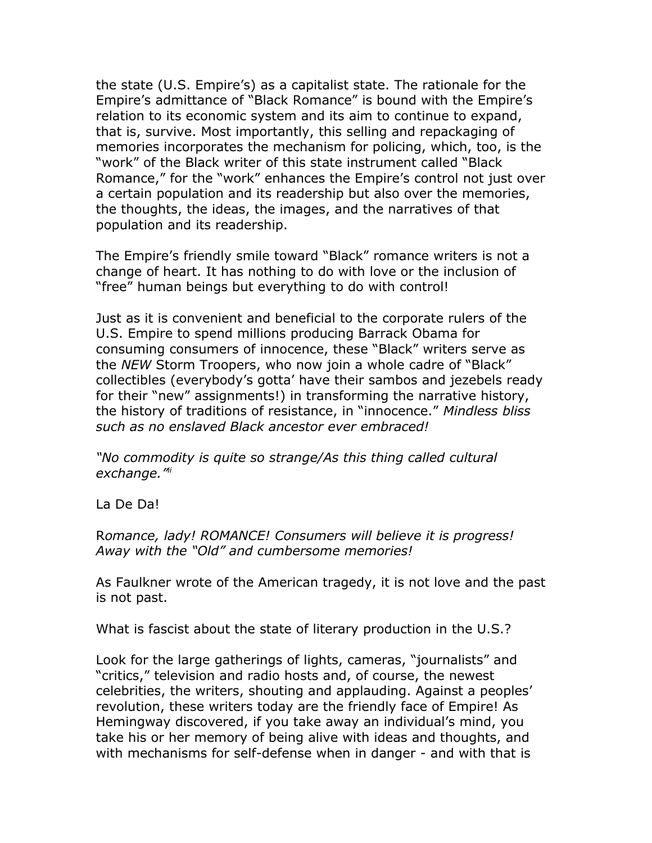the state (U.S. Empire's) as a capitalist state. The rationale for the Empire's admittance of "Black Romance" is bound with the Empire's relation to its economic system and its aim to continue to expand, that is, survive. Most importantly, this selling and repackaging of memories incorporates the mechanism for policing, which, too, is the "work" of the Black writer of this state instrument called "Black Romance," for the "work" enhances the Empire's control not just over a certain population and its readership but also over the memories, the thoughts, the ideas, the images, and the narratives of that population and its readership.

The Empire's friendly smile toward "Black" romance writers is not a change of heart. It has nothing to do with love or the inclusion of "free" human beings but everything to do with control!

Just as it is convenient and beneficial to the corporate rulers of the U.S. Empire to spend millions producing Barrack Obama for consuming consumers of innocence, these "Black" writers serve as the *NEW* Storm Troopers, who now join a whole cadre of "Black" collectibles (everybody's gotta' have their sambos and jezebels ready for their "new" assignments!) in transforming the narrative history, the history of traditions of resistance, in "innocence." *Mindless bliss such as no enslaved Black ancestor ever embraced!*

*"No commodity is quite so strange/As this thing called cultural exchange."[ii](#page-10-1)*

La De Da!

R*omance, lady! ROMANCE! Consumers will believe it is progress! Away with the "Old" and cumbersome memories!*

As Faulkner wrote of the American tragedy, it is not love and the past is not past.

What is fascist about the state of literary production in the U.S.?

Look for the large gatherings of lights, cameras, "journalists" and "critics," television and radio hosts and, of course, the newest celebrities, the writers, shouting and applauding. Against a peoples' revolution, these writers today are the friendly face of Empire! As Hemingway discovered, if you take away an individual's mind, you take his or her memory of being alive with ideas and thoughts, and with mechanisms for self-defense when in danger - and with that is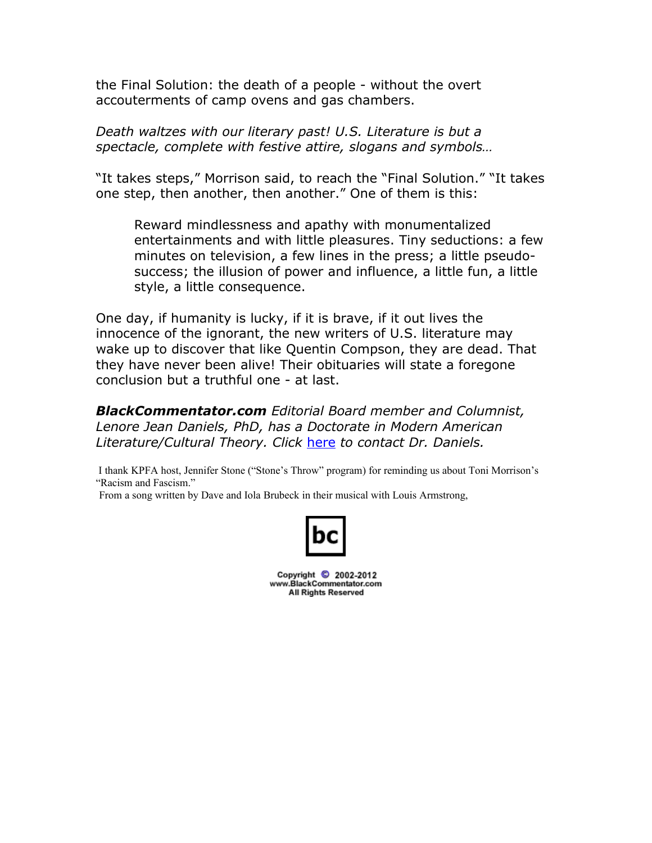the Final Solution: the death of a people - without the overt accouterments of camp ovens and gas chambers.

*Death waltzes with our literary past! U.S. Literature is but a spectacle, complete with festive attire, slogans and symbols…*

"It takes steps," Morrison said, to reach the "Final Solution." "It takes one step, then another, then another." One of them is this:

Reward mindlessness and apathy with monumentalized entertainments and with little pleasures. Tiny seductions: a few minutes on television, a few lines in the press; a little pseudosuccess; the illusion of power and influence, a little fun, a little style, a little consequence.

One day, if humanity is lucky, if it is brave, if it out lives the innocence of the ignorant, the new writers of U.S. literature may wake up to discover that like Quentin Compson, they are dead. That they have never been alive! Their obituaries will state a foregone conclusion but a truthful one - at last.

*BlackCommentator.com Editorial Board member and Columnist, Lenore Jean Daniels, PhD, has a Doctorate in Modern American Literature/Cultural Theory. Click* [here](http://www.blackcommentator.com/contact_forms/jean_daniels/gbcf_form.php) *to contact Dr. Daniels.*

 I thank KPFA host, Jennifer Stone ("Stone's Throw" program) for reminding us about Toni Morrison's "Racism and Fascism."

From a song written by Dave and Iola Brubeck in their musical with Louis Armstrong,



Copyright 2002-2012 www.BlackCommentator.com **All Rights Reserved**